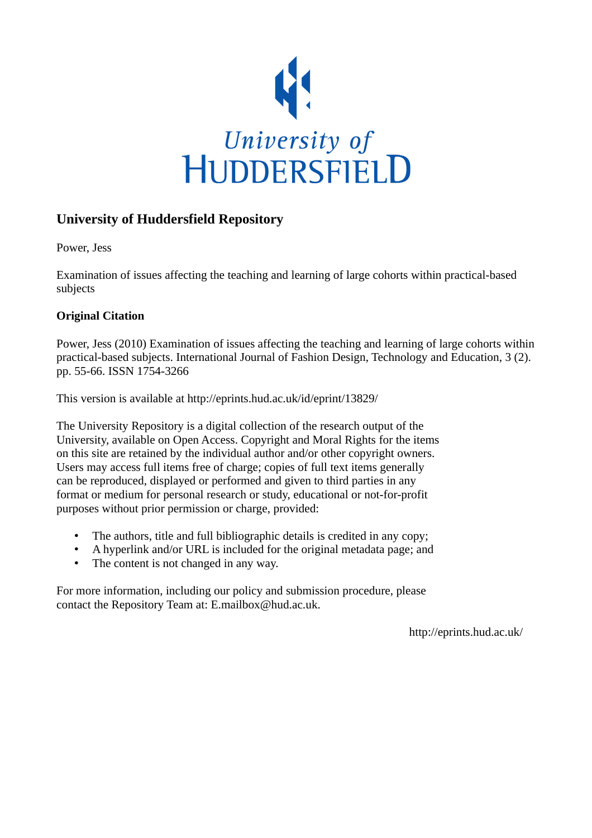

# **University of Huddersfield Repository**

Power, Jess

Examination of issues affecting the teaching and learning of large cohorts within practical-based subjects

## **Original Citation**

Power, Jess (2010) Examination of issues affecting the teaching and learning of large cohorts within practical-based subjects. International Journal of Fashion Design, Technology and Education, 3 (2). pp. 55-66. ISSN 1754-3266

This version is available at http://eprints.hud.ac.uk/id/eprint/13829/

The University Repository is a digital collection of the research output of the University, available on Open Access. Copyright and Moral Rights for the items on this site are retained by the individual author and/or other copyright owners. Users may access full items free of charge; copies of full text items generally can be reproduced, displayed or performed and given to third parties in any format or medium for personal research or study, educational or not-for-profit purposes without prior permission or charge, provided:

- The authors, title and full bibliographic details is credited in any copy;
- A hyperlink and/or URL is included for the original metadata page; and
- The content is not changed in any way.

For more information, including our policy and submission procedure, please contact the Repository Team at: E.mailbox@hud.ac.uk.

http://eprints.hud.ac.uk/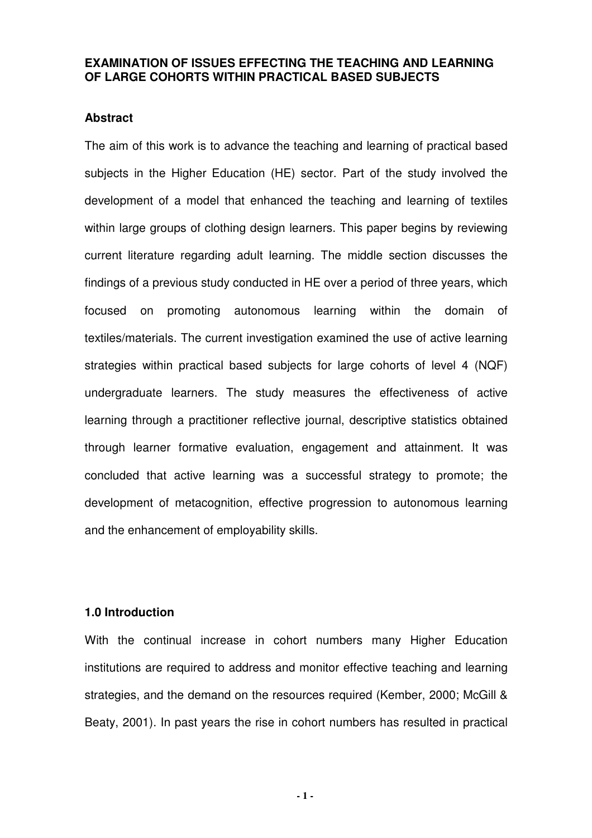## **EXAMINATION OF ISSUES EFFECTING THE TEACHING AND LEARNING OF LARGE COHORTS WITHIN PRACTICAL BASED SUBJECTS**

### **Abstract**

The aim of this work is to advance the teaching and learning of practical based subjects in the Higher Education (HE) sector. Part of the study involved the development of a model that enhanced the teaching and learning of textiles within large groups of clothing design learners. This paper begins by reviewing current literature regarding adult learning. The middle section discusses the findings of a previous study conducted in HE over a period of three years, which focused on promoting autonomous learning within the domain of textiles/materials. The current investigation examined the use of active learning strategies within practical based subjects for large cohorts of level 4 (NQF) undergraduate learners. The study measures the effectiveness of active learning through a practitioner reflective journal, descriptive statistics obtained through learner formative evaluation, engagement and attainment. It was concluded that active learning was a successful strategy to promote; the development of metacognition, effective progression to autonomous learning and the enhancement of employability skills.

#### **1.0 Introduction**

With the continual increase in cohort numbers many Higher Education institutions are required to address and monitor effective teaching and learning strategies, and the demand on the resources required (Kember, 2000; McGill & Beaty, 2001). In past years the rise in cohort numbers has resulted in practical

**- 1 -**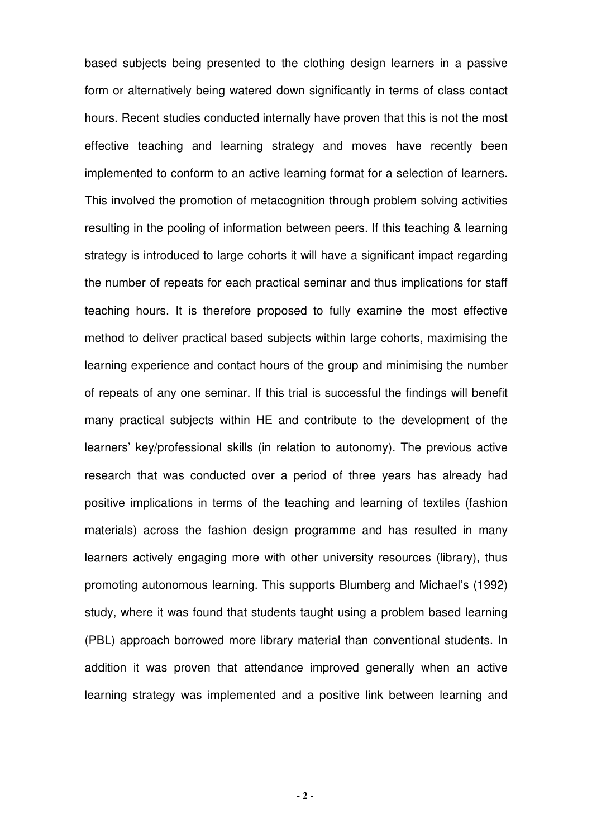based subjects being presented to the clothing design learners in a passive form or alternatively being watered down significantly in terms of class contact hours. Recent studies conducted internally have proven that this is not the most effective teaching and learning strategy and moves have recently been implemented to conform to an active learning format for a selection of learners. This involved the promotion of metacognition through problem solving activities resulting in the pooling of information between peers. If this teaching & learning strategy is introduced to large cohorts it will have a significant impact regarding the number of repeats for each practical seminar and thus implications for staff teaching hours. It is therefore proposed to fully examine the most effective method to deliver practical based subjects within large cohorts, maximising the learning experience and contact hours of the group and minimising the number of repeats of any one seminar. If this trial is successful the findings will benefit many practical subjects within HE and contribute to the development of the learners' key/professional skills (in relation to autonomy). The previous active research that was conducted over a period of three years has already had positive implications in terms of the teaching and learning of textiles (fashion materials) across the fashion design programme and has resulted in many learners actively engaging more with other university resources (library), thus promoting autonomous learning. This supports Blumberg and Michael's (1992) study, where it was found that students taught using a problem based learning (PBL) approach borrowed more library material than conventional students. In addition it was proven that attendance improved generally when an active learning strategy was implemented and a positive link between learning and

**- 2 -**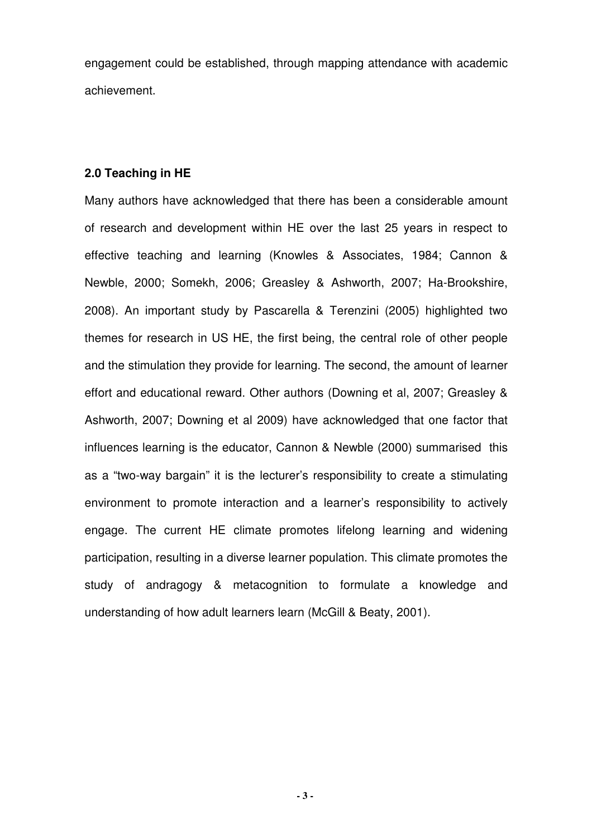engagement could be established, through mapping attendance with academic achievement.

## **2.0 Teaching in HE**

Many authors have acknowledged that there has been a considerable amount of research and development within HE over the last 25 years in respect to effective teaching and learning (Knowles & Associates, 1984; Cannon & Newble, 2000; Somekh, 2006; Greasley & Ashworth, 2007; Ha-Brookshire, 2008). An important study by Pascarella & Terenzini (2005) highlighted two themes for research in US HE, the first being, the central role of other people and the stimulation they provide for learning. The second, the amount of learner effort and educational reward. Other authors (Downing et al, 2007; Greasley & Ashworth, 2007; Downing et al 2009) have acknowledged that one factor that influences learning is the educator, Cannon & Newble (2000) summarised this as a "two-way bargain" it is the lecturer's responsibility to create a stimulating environment to promote interaction and a learner's responsibility to actively engage. The current HE climate promotes lifelong learning and widening participation, resulting in a diverse learner population. This climate promotes the study of andragogy & metacognition to formulate a knowledge and understanding of how adult learners learn (McGill & Beaty, 2001).

**- 3 -**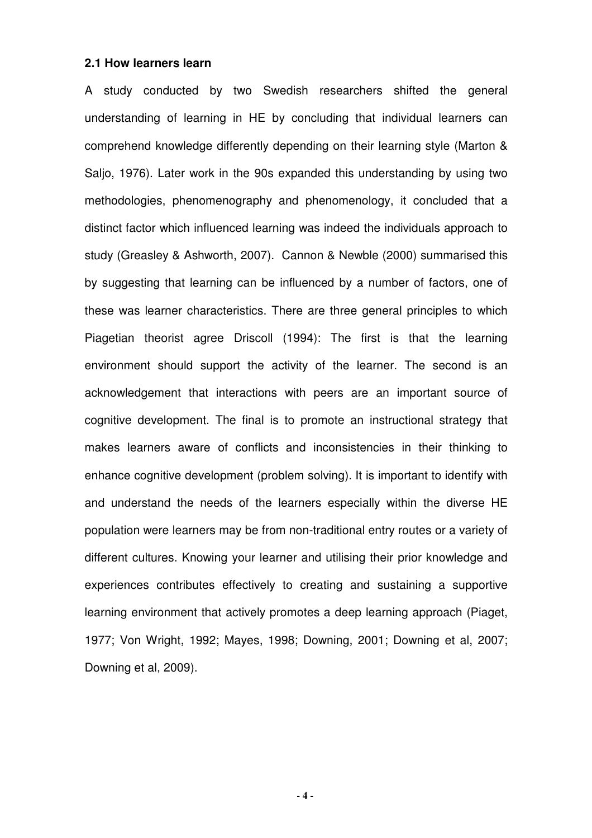#### **2.1 How learners learn**

A study conducted by two Swedish researchers shifted the general understanding of learning in HE by concluding that individual learners can comprehend knowledge differently depending on their learning style (Marton & Saljo, 1976). Later work in the 90s expanded this understanding by using two methodologies, phenomenography and phenomenology, it concluded that a distinct factor which influenced learning was indeed the individuals approach to study (Greasley & Ashworth, 2007). Cannon & Newble (2000) summarised this by suggesting that learning can be influenced by a number of factors, one of these was learner characteristics. There are three general principles to which Piagetian theorist agree Driscoll (1994): The first is that the learning environment should support the activity of the learner. The second is an acknowledgement that interactions with peers are an important source of cognitive development. The final is to promote an instructional strategy that makes learners aware of conflicts and inconsistencies in their thinking to enhance cognitive development (problem solving). It is important to identify with and understand the needs of the learners especially within the diverse HE population were learners may be from non-traditional entry routes or a variety of different cultures. Knowing your learner and utilising their prior knowledge and experiences contributes effectively to creating and sustaining a supportive learning environment that actively promotes a deep learning approach (Piaget, 1977; Von Wright, 1992; Mayes, 1998; Downing, 2001; Downing et al, 2007; Downing et al, 2009).

**- 4 -**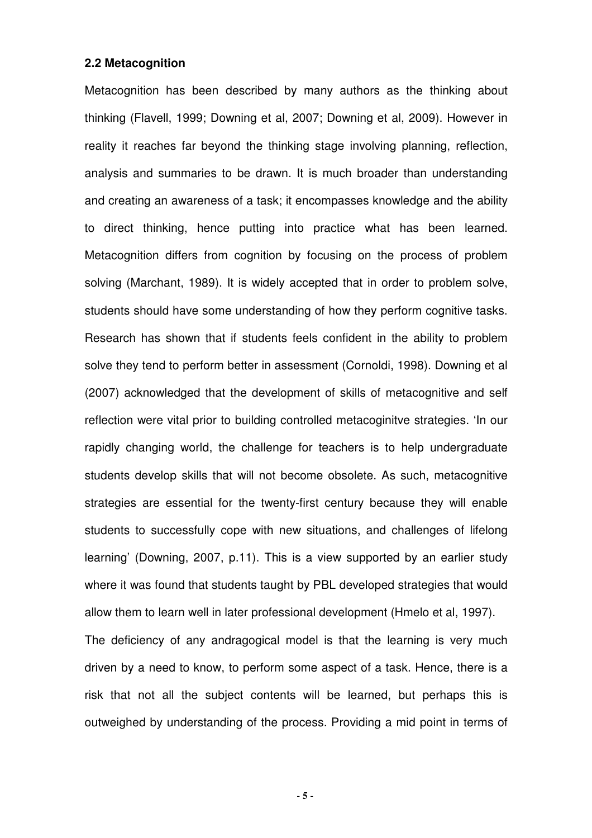#### **2.2 Metacognition**

Metacognition has been described by many authors as the thinking about thinking (Flavell, 1999; Downing et al, 2007; Downing et al, 2009). However in reality it reaches far beyond the thinking stage involving planning, reflection, analysis and summaries to be drawn. It is much broader than understanding and creating an awareness of a task; it encompasses knowledge and the ability to direct thinking, hence putting into practice what has been learned. Metacognition differs from cognition by focusing on the process of problem solving (Marchant, 1989). It is widely accepted that in order to problem solve, students should have some understanding of how they perform cognitive tasks. Research has shown that if students feels confident in the ability to problem solve they tend to perform better in assessment (Cornoldi, 1998). Downing et al (2007) acknowledged that the development of skills of metacognitive and self reflection were vital prior to building controlled metacoginitve strategies. 'In our rapidly changing world, the challenge for teachers is to help undergraduate students develop skills that will not become obsolete. As such, metacognitive strategies are essential for the twenty-first century because they will enable students to successfully cope with new situations, and challenges of lifelong learning' (Downing, 2007, p.11). This is a view supported by an earlier study where it was found that students taught by PBL developed strategies that would allow them to learn well in later professional development (Hmelo et al, 1997). The deficiency of any andragogical model is that the learning is very much driven by a need to know, to perform some aspect of a task. Hence, there is a risk that not all the subject contents will be learned, but perhaps this is outweighed by understanding of the process. Providing a mid point in terms of

**- 5 -**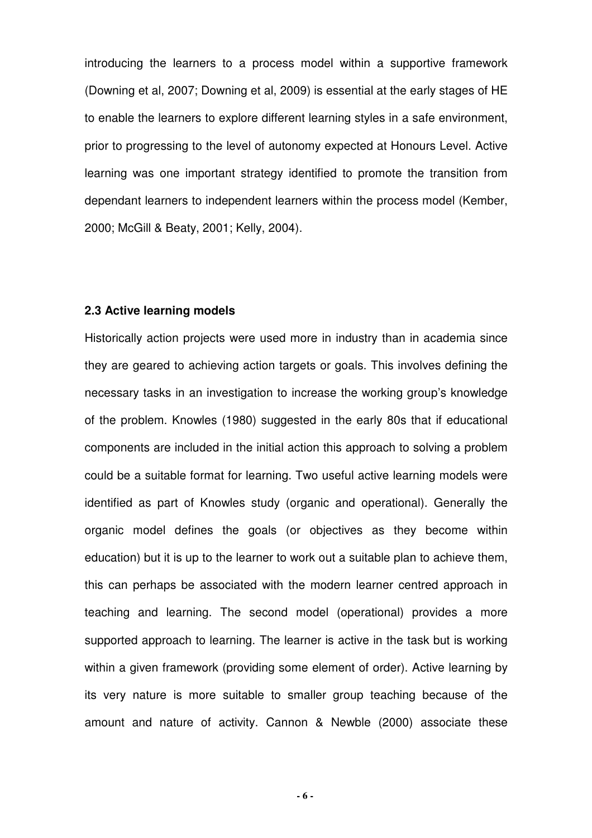introducing the learners to a process model within a supportive framework (Downing et al, 2007; Downing et al, 2009) is essential at the early stages of HE to enable the learners to explore different learning styles in a safe environment, prior to progressing to the level of autonomy expected at Honours Level. Active learning was one important strategy identified to promote the transition from dependant learners to independent learners within the process model (Kember, 2000; McGill & Beaty, 2001; Kelly, 2004).

#### **2.3 Active learning models**

Historically action projects were used more in industry than in academia since they are geared to achieving action targets or goals. This involves defining the necessary tasks in an investigation to increase the working group's knowledge of the problem. Knowles (1980) suggested in the early 80s that if educational components are included in the initial action this approach to solving a problem could be a suitable format for learning. Two useful active learning models were identified as part of Knowles study (organic and operational). Generally the organic model defines the goals (or objectives as they become within education) but it is up to the learner to work out a suitable plan to achieve them, this can perhaps be associated with the modern learner centred approach in teaching and learning. The second model (operational) provides a more supported approach to learning. The learner is active in the task but is working within a given framework (providing some element of order). Active learning by its very nature is more suitable to smaller group teaching because of the amount and nature of activity. Cannon & Newble (2000) associate these

**- 6 -**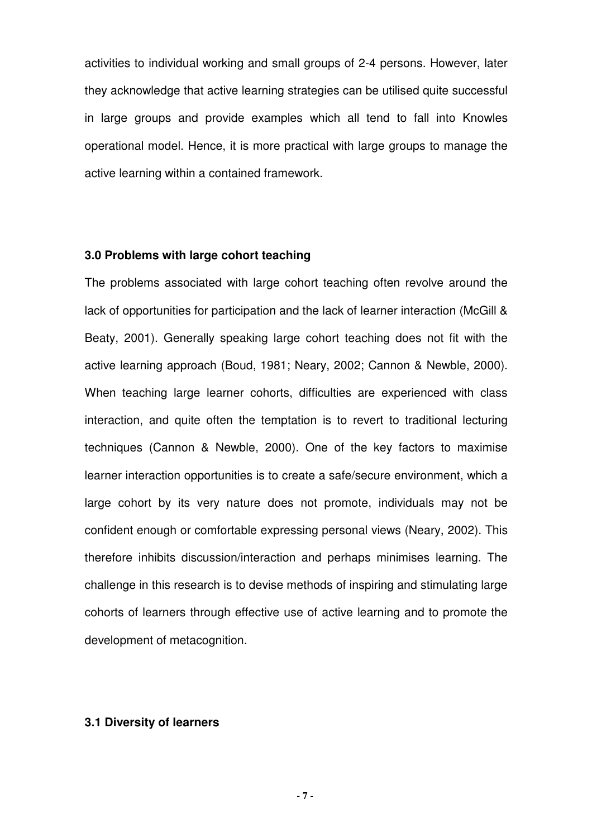activities to individual working and small groups of 2-4 persons. However, later they acknowledge that active learning strategies can be utilised quite successful in large groups and provide examples which all tend to fall into Knowles operational model. Hence, it is more practical with large groups to manage the active learning within a contained framework.

## **3.0 Problems with large cohort teaching**

The problems associated with large cohort teaching often revolve around the lack of opportunities for participation and the lack of learner interaction (McGill & Beaty, 2001). Generally speaking large cohort teaching does not fit with the active learning approach (Boud, 1981; Neary, 2002; Cannon & Newble, 2000). When teaching large learner cohorts, difficulties are experienced with class interaction, and quite often the temptation is to revert to traditional lecturing techniques (Cannon & Newble, 2000). One of the key factors to maximise learner interaction opportunities is to create a safe/secure environment, which a large cohort by its very nature does not promote, individuals may not be confident enough or comfortable expressing personal views (Neary, 2002). This therefore inhibits discussion/interaction and perhaps minimises learning. The challenge in this research is to devise methods of inspiring and stimulating large cohorts of learners through effective use of active learning and to promote the development of metacognition.

#### **3.1 Diversity of learners**

**- 7 -**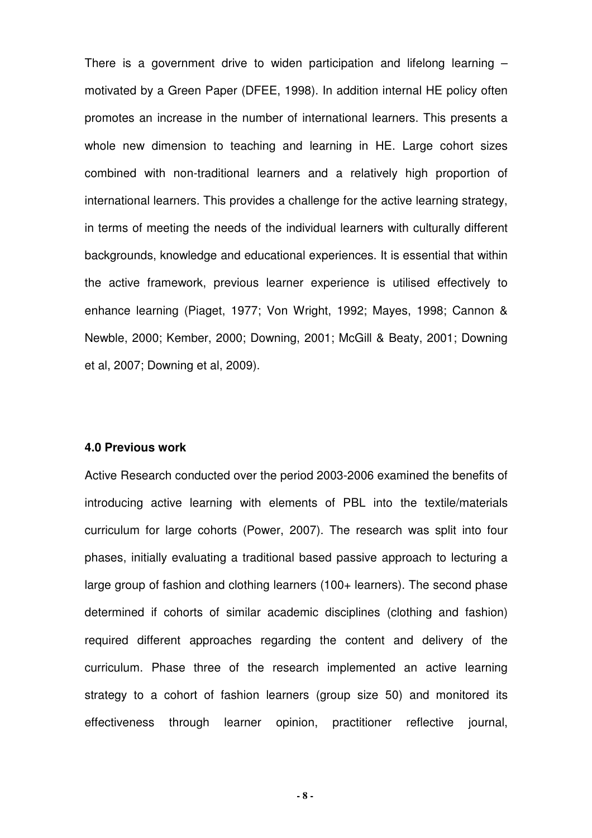There is a government drive to widen participation and lifelong learning – motivated by a Green Paper (DFEE, 1998). In addition internal HE policy often promotes an increase in the number of international learners. This presents a whole new dimension to teaching and learning in HE. Large cohort sizes combined with non-traditional learners and a relatively high proportion of international learners. This provides a challenge for the active learning strategy, in terms of meeting the needs of the individual learners with culturally different backgrounds, knowledge and educational experiences. It is essential that within the active framework, previous learner experience is utilised effectively to enhance learning (Piaget, 1977; Von Wright, 1992; Mayes, 1998; Cannon & Newble, 2000; Kember, 2000; Downing, 2001; McGill & Beaty, 2001; Downing et al, 2007; Downing et al, 2009).

#### **4.0 Previous work**

Active Research conducted over the period 2003-2006 examined the benefits of introducing active learning with elements of PBL into the textile/materials curriculum for large cohorts (Power, 2007). The research was split into four phases, initially evaluating a traditional based passive approach to lecturing a large group of fashion and clothing learners (100+ learners). The second phase determined if cohorts of similar academic disciplines (clothing and fashion) required different approaches regarding the content and delivery of the curriculum. Phase three of the research implemented an active learning strategy to a cohort of fashion learners (group size 50) and monitored its effectiveness through learner opinion, practitioner reflective journal,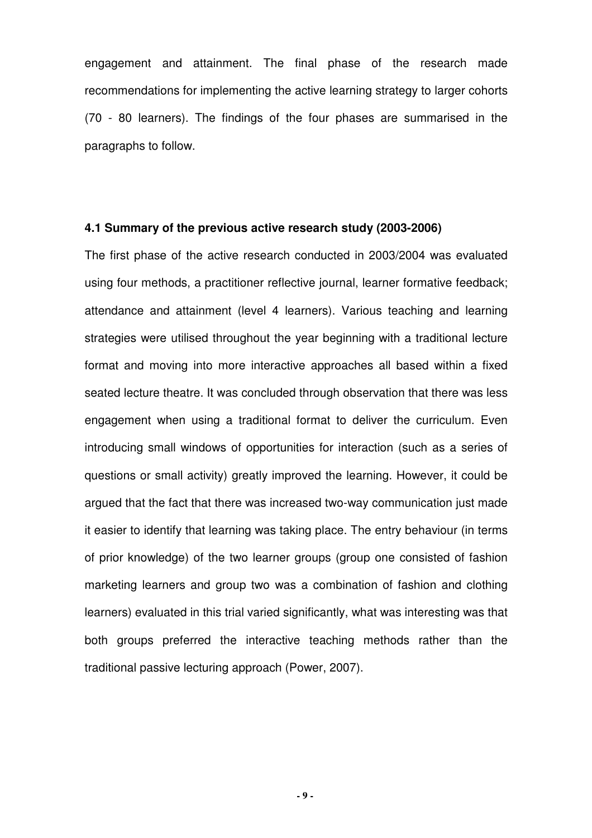engagement and attainment. The final phase of the research made recommendations for implementing the active learning strategy to larger cohorts (70 - 80 learners). The findings of the four phases are summarised in the paragraphs to follow.

### **4.1 Summary of the previous active research study (2003-2006)**

The first phase of the active research conducted in 2003/2004 was evaluated using four methods, a practitioner reflective journal, learner formative feedback; attendance and attainment (level 4 learners). Various teaching and learning strategies were utilised throughout the year beginning with a traditional lecture format and moving into more interactive approaches all based within a fixed seated lecture theatre. It was concluded through observation that there was less engagement when using a traditional format to deliver the curriculum. Even introducing small windows of opportunities for interaction (such as a series of questions or small activity) greatly improved the learning. However, it could be argued that the fact that there was increased two-way communication just made it easier to identify that learning was taking place. The entry behaviour (in terms of prior knowledge) of the two learner groups (group one consisted of fashion marketing learners and group two was a combination of fashion and clothing learners) evaluated in this trial varied significantly, what was interesting was that both groups preferred the interactive teaching methods rather than the traditional passive lecturing approach (Power, 2007).

**- 9 -**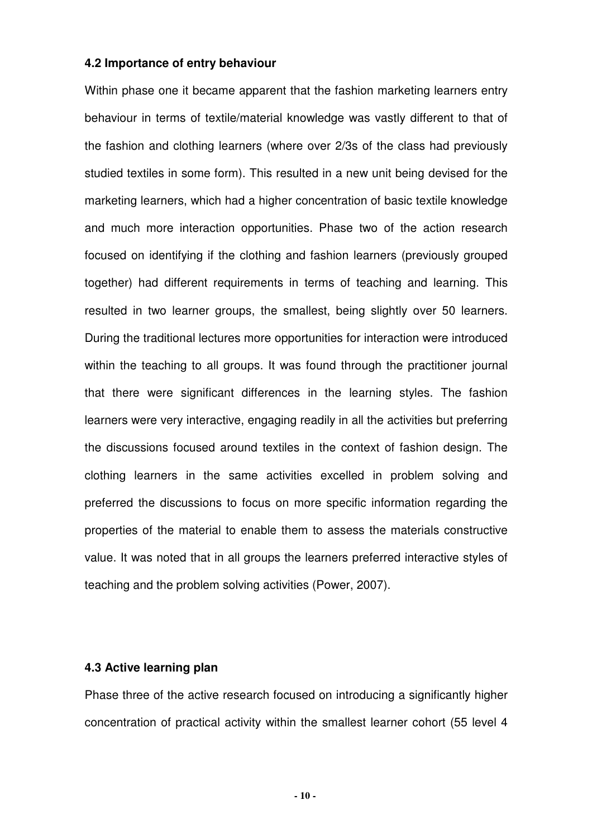#### **4.2 Importance of entry behaviour**

Within phase one it became apparent that the fashion marketing learners entry behaviour in terms of textile/material knowledge was vastly different to that of the fashion and clothing learners (where over 2/3s of the class had previously studied textiles in some form). This resulted in a new unit being devised for the marketing learners, which had a higher concentration of basic textile knowledge and much more interaction opportunities. Phase two of the action research focused on identifying if the clothing and fashion learners (previously grouped together) had different requirements in terms of teaching and learning. This resulted in two learner groups, the smallest, being slightly over 50 learners. During the traditional lectures more opportunities for interaction were introduced within the teaching to all groups. It was found through the practitioner journal that there were significant differences in the learning styles. The fashion learners were very interactive, engaging readily in all the activities but preferring the discussions focused around textiles in the context of fashion design. The clothing learners in the same activities excelled in problem solving and preferred the discussions to focus on more specific information regarding the properties of the material to enable them to assess the materials constructive value. It was noted that in all groups the learners preferred interactive styles of teaching and the problem solving activities (Power, 2007).

#### **4.3 Active learning plan**

Phase three of the active research focused on introducing a significantly higher concentration of practical activity within the smallest learner cohort (55 level 4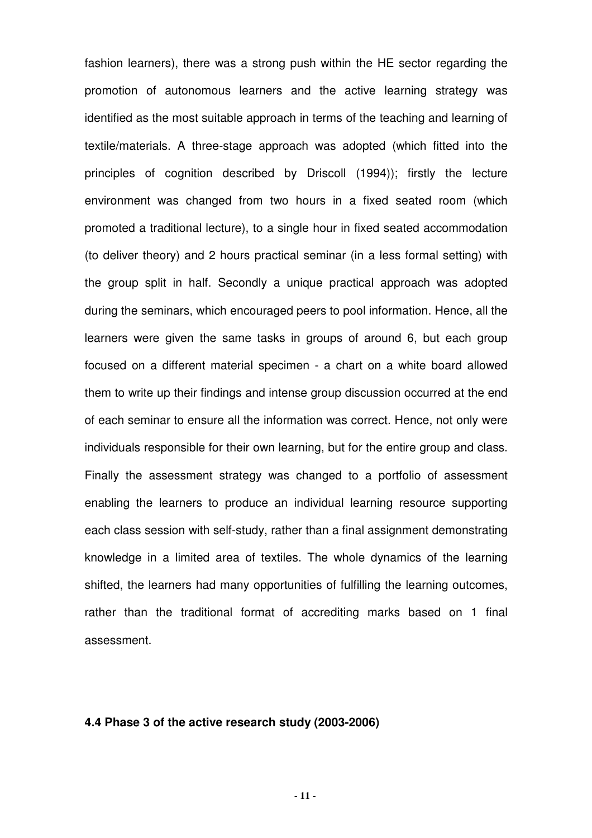fashion learners), there was a strong push within the HE sector regarding the promotion of autonomous learners and the active learning strategy was identified as the most suitable approach in terms of the teaching and learning of textile/materials. A three-stage approach was adopted (which fitted into the principles of cognition described by Driscoll (1994)); firstly the lecture environment was changed from two hours in a fixed seated room (which promoted a traditional lecture), to a single hour in fixed seated accommodation (to deliver theory) and 2 hours practical seminar (in a less formal setting) with the group split in half. Secondly a unique practical approach was adopted during the seminars, which encouraged peers to pool information. Hence, all the learners were given the same tasks in groups of around 6, but each group focused on a different material specimen - a chart on a white board allowed them to write up their findings and intense group discussion occurred at the end of each seminar to ensure all the information was correct. Hence, not only were individuals responsible for their own learning, but for the entire group and class. Finally the assessment strategy was changed to a portfolio of assessment enabling the learners to produce an individual learning resource supporting each class session with self-study, rather than a final assignment demonstrating knowledge in a limited area of textiles. The whole dynamics of the learning shifted, the learners had many opportunities of fulfilling the learning outcomes, rather than the traditional format of accrediting marks based on 1 final assessment.

#### **4.4 Phase 3 of the active research study (2003-2006)**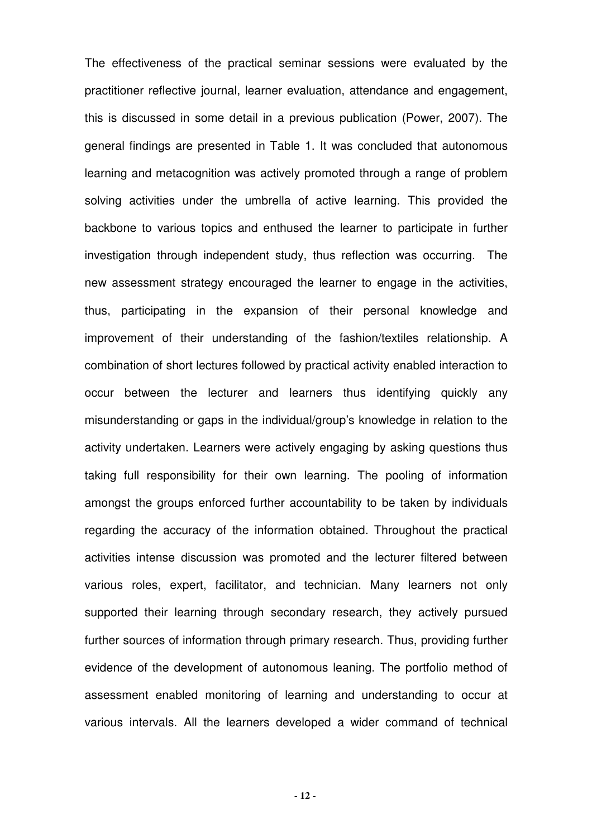The effectiveness of the practical seminar sessions were evaluated by the practitioner reflective journal, learner evaluation, attendance and engagement, this is discussed in some detail in a previous publication (Power, 2007). The general findings are presented in Table 1. It was concluded that autonomous learning and metacognition was actively promoted through a range of problem solving activities under the umbrella of active learning. This provided the backbone to various topics and enthused the learner to participate in further investigation through independent study, thus reflection was occurring. The new assessment strategy encouraged the learner to engage in the activities, thus, participating in the expansion of their personal knowledge and improvement of their understanding of the fashion/textiles relationship. A combination of short lectures followed by practical activity enabled interaction to occur between the lecturer and learners thus identifying quickly any misunderstanding or gaps in the individual/group's knowledge in relation to the activity undertaken. Learners were actively engaging by asking questions thus taking full responsibility for their own learning. The pooling of information amongst the groups enforced further accountability to be taken by individuals regarding the accuracy of the information obtained. Throughout the practical activities intense discussion was promoted and the lecturer filtered between various roles, expert, facilitator, and technician. Many learners not only supported their learning through secondary research, they actively pursued further sources of information through primary research. Thus, providing further evidence of the development of autonomous leaning. The portfolio method of assessment enabled monitoring of learning and understanding to occur at various intervals. All the learners developed a wider command of technical

**- 12 -**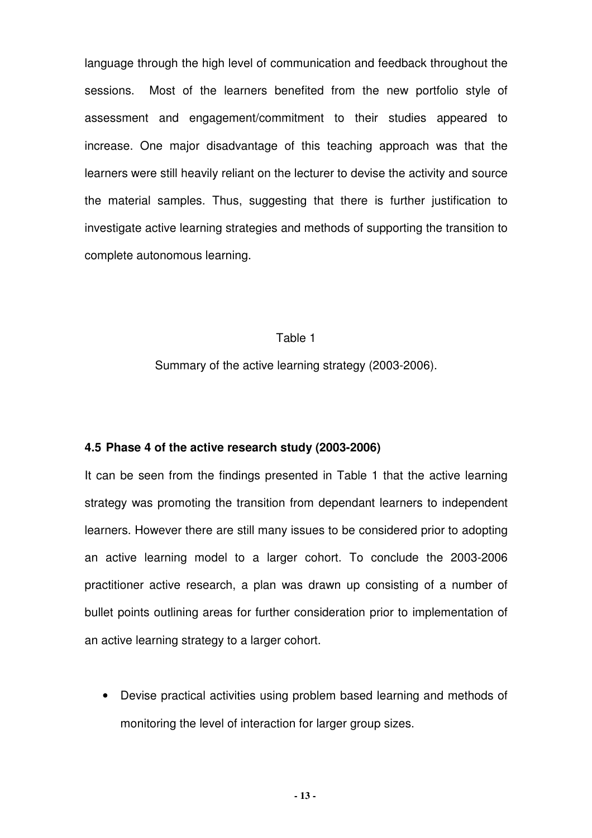language through the high level of communication and feedback throughout the sessions. Most of the learners benefited from the new portfolio style of assessment and engagement/commitment to their studies appeared to increase. One major disadvantage of this teaching approach was that the learners were still heavily reliant on the lecturer to devise the activity and source the material samples. Thus, suggesting that there is further justification to investigate active learning strategies and methods of supporting the transition to complete autonomous learning.

#### Table 1

Summary of the active learning strategy (2003-2006).

### **4.5 Phase 4 of the active research study (2003-2006)**

It can be seen from the findings presented in Table 1 that the active learning strategy was promoting the transition from dependant learners to independent learners. However there are still many issues to be considered prior to adopting an active learning model to a larger cohort. To conclude the 2003-2006 practitioner active research, a plan was drawn up consisting of a number of bullet points outlining areas for further consideration prior to implementation of an active learning strategy to a larger cohort.

• Devise practical activities using problem based learning and methods of monitoring the level of interaction for larger group sizes.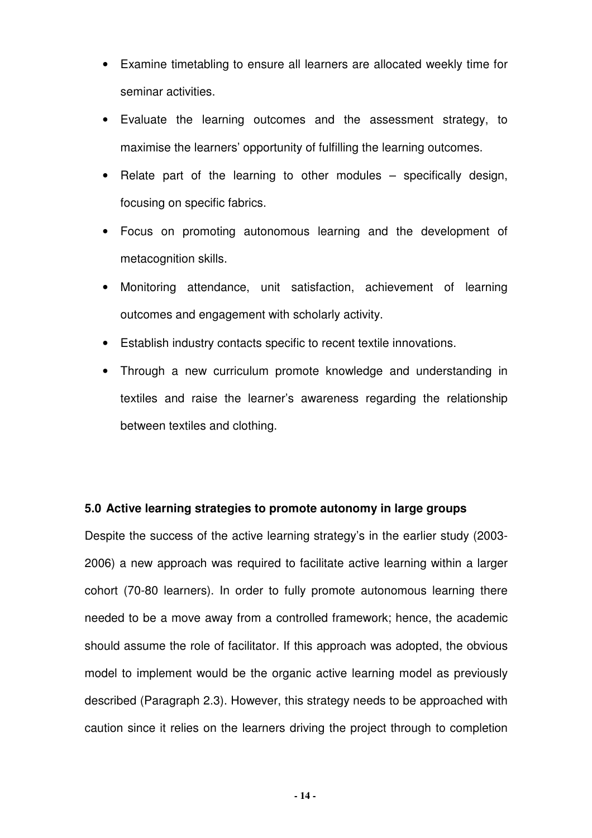- Examine timetabling to ensure all learners are allocated weekly time for seminar activities.
- Evaluate the learning outcomes and the assessment strategy, to maximise the learners' opportunity of fulfilling the learning outcomes.
- Relate part of the learning to other modules specifically design, focusing on specific fabrics.
- Focus on promoting autonomous learning and the development of metacognition skills.
- Monitoring attendance, unit satisfaction, achievement of learning outcomes and engagement with scholarly activity.
- Establish industry contacts specific to recent textile innovations.
- Through a new curriculum promote knowledge and understanding in textiles and raise the learner's awareness regarding the relationship between textiles and clothing.

## **5.0 Active learning strategies to promote autonomy in large groups**

Despite the success of the active learning strategy's in the earlier study (2003- 2006) a new approach was required to facilitate active learning within a larger cohort (70-80 learners). In order to fully promote autonomous learning there needed to be a move away from a controlled framework; hence, the academic should assume the role of facilitator. If this approach was adopted, the obvious model to implement would be the organic active learning model as previously described (Paragraph 2.3). However, this strategy needs to be approached with caution since it relies on the learners driving the project through to completion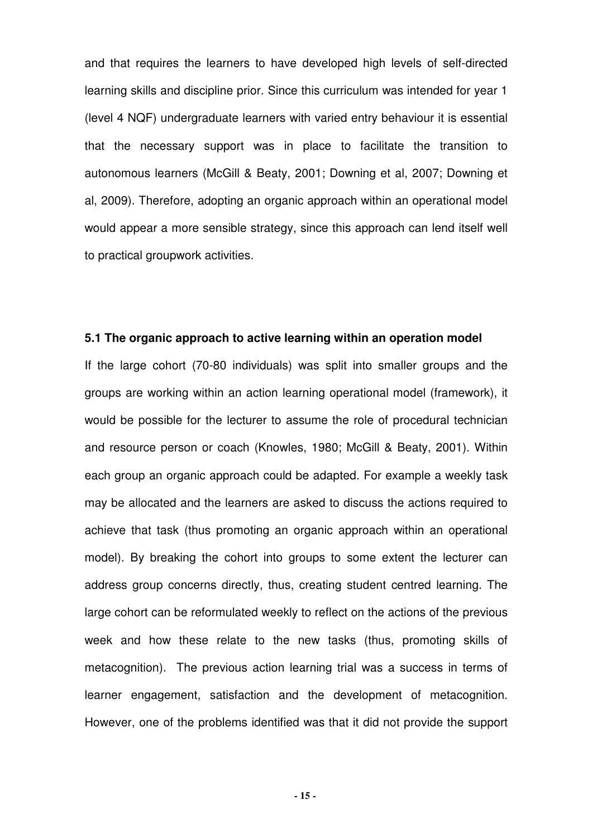and that requires the learners to have developed high levels of self-directed learning skills and discipline prior. Since this curriculum was intended for year 1 (level 4 NQF) undergraduate learners with varied entry behaviour it is essential that the necessary support was in place to facilitate the transition to autonomous learners (McGill & Beaty, 2001; Downing et al, 2007; Downing et al, 2009). Therefore, adopting an organic approach within an operational model would appear a more sensible strategy, since this approach can lend itself well to practical groupwork activities.

### **5.1 The organic approach to active learning within an operation model**

If the large cohort (70-80 individuals) was split into smaller groups and the groups are working within an action learning operational model (framework), it would be possible for the lecturer to assume the role of procedural technician and resource person or coach (Knowles, 1980; McGill & Beaty, 2001). Within each group an organic approach could be adapted. For example a weekly task may be allocated and the learners are asked to discuss the actions required to achieve that task (thus promoting an organic approach within an operational model). By breaking the cohort into groups to some extent the lecturer can address group concerns directly, thus, creating student centred learning. The large cohort can be reformulated weekly to reflect on the actions of the previous week and how these relate to the new tasks (thus, promoting skills of metacognition). The previous action learning trial was a success in terms of learner engagement, satisfaction and the development of metacognition. However, one of the problems identified was that it did not provide the support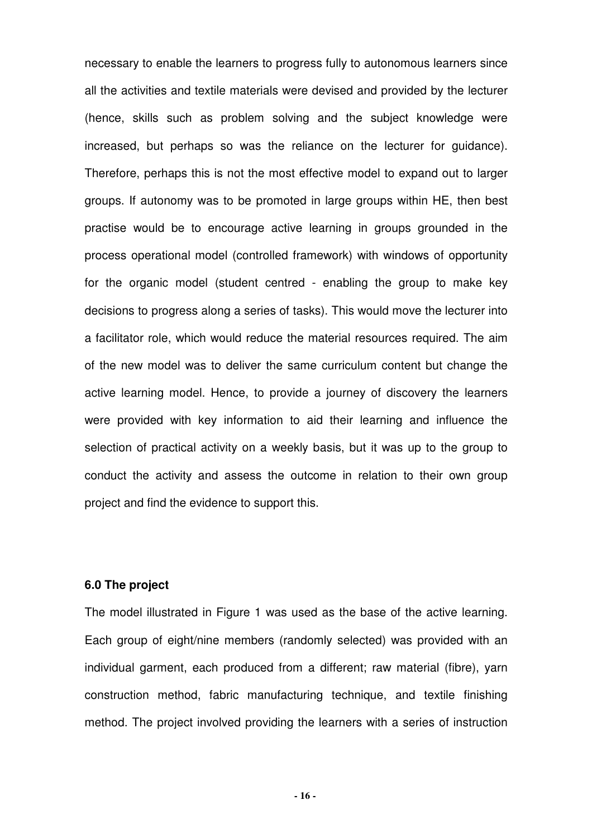necessary to enable the learners to progress fully to autonomous learners since all the activities and textile materials were devised and provided by the lecturer (hence, skills such as problem solving and the subject knowledge were increased, but perhaps so was the reliance on the lecturer for guidance). Therefore, perhaps this is not the most effective model to expand out to larger groups. If autonomy was to be promoted in large groups within HE, then best practise would be to encourage active learning in groups grounded in the process operational model (controlled framework) with windows of opportunity for the organic model (student centred - enabling the group to make key decisions to progress along a series of tasks). This would move the lecturer into a facilitator role, which would reduce the material resources required. The aim of the new model was to deliver the same curriculum content but change the active learning model. Hence, to provide a journey of discovery the learners were provided with key information to aid their learning and influence the selection of practical activity on a weekly basis, but it was up to the group to conduct the activity and assess the outcome in relation to their own group project and find the evidence to support this.

### **6.0 The project**

The model illustrated in Figure 1 was used as the base of the active learning. Each group of eight/nine members (randomly selected) was provided with an individual garment, each produced from a different; raw material (fibre), yarn construction method, fabric manufacturing technique, and textile finishing method. The project involved providing the learners with a series of instruction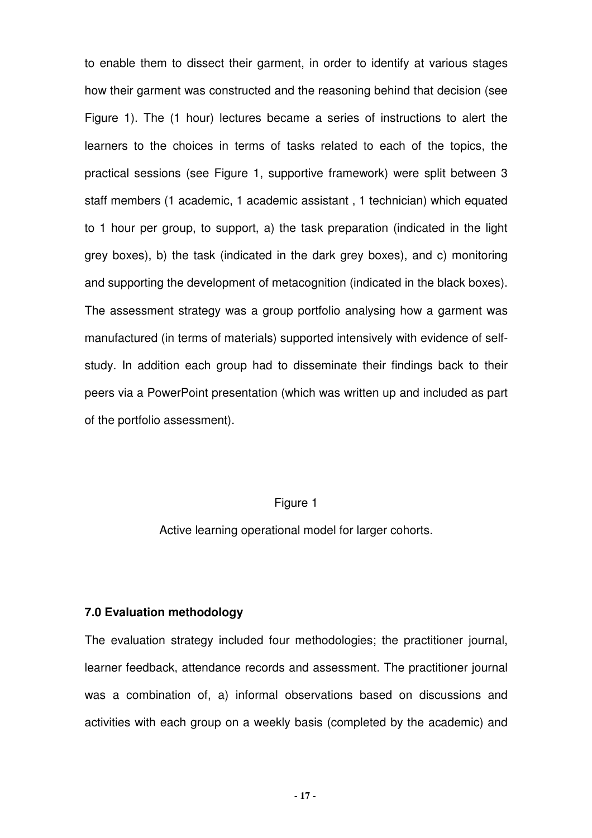to enable them to dissect their garment, in order to identify at various stages how their garment was constructed and the reasoning behind that decision (see Figure 1). The (1 hour) lectures became a series of instructions to alert the learners to the choices in terms of tasks related to each of the topics, the practical sessions (see Figure 1, supportive framework) were split between 3 staff members (1 academic, 1 academic assistant , 1 technician) which equated to 1 hour per group, to support, a) the task preparation (indicated in the light grey boxes), b) the task (indicated in the dark grey boxes), and c) monitoring and supporting the development of metacognition (indicated in the black boxes). The assessment strategy was a group portfolio analysing how a garment was manufactured (in terms of materials) supported intensively with evidence of selfstudy. In addition each group had to disseminate their findings back to their peers via a PowerPoint presentation (which was written up and included as part of the portfolio assessment).

#### Figure 1

Active learning operational model for larger cohorts.

#### **7.0 Evaluation methodology**

The evaluation strategy included four methodologies; the practitioner journal, learner feedback, attendance records and assessment. The practitioner journal was a combination of, a) informal observations based on discussions and activities with each group on a weekly basis (completed by the academic) and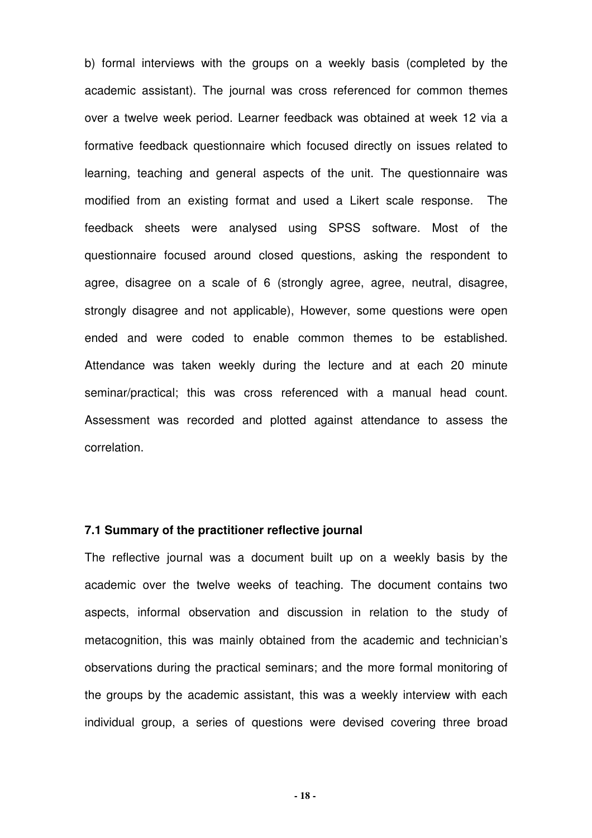b) formal interviews with the groups on a weekly basis (completed by the academic assistant). The journal was cross referenced for common themes over a twelve week period. Learner feedback was obtained at week 12 via a formative feedback questionnaire which focused directly on issues related to learning, teaching and general aspects of the unit. The questionnaire was modified from an existing format and used a Likert scale response. The feedback sheets were analysed using SPSS software. Most of the questionnaire focused around closed questions, asking the respondent to agree, disagree on a scale of 6 (strongly agree, agree, neutral, disagree, strongly disagree and not applicable), However, some questions were open ended and were coded to enable common themes to be established. Attendance was taken weekly during the lecture and at each 20 minute seminar/practical; this was cross referenced with a manual head count. Assessment was recorded and plotted against attendance to assess the correlation.

## **7.1 Summary of the practitioner reflective journal**

The reflective journal was a document built up on a weekly basis by the academic over the twelve weeks of teaching. The document contains two aspects, informal observation and discussion in relation to the study of metacognition, this was mainly obtained from the academic and technician's observations during the practical seminars; and the more formal monitoring of the groups by the academic assistant, this was a weekly interview with each individual group, a series of questions were devised covering three broad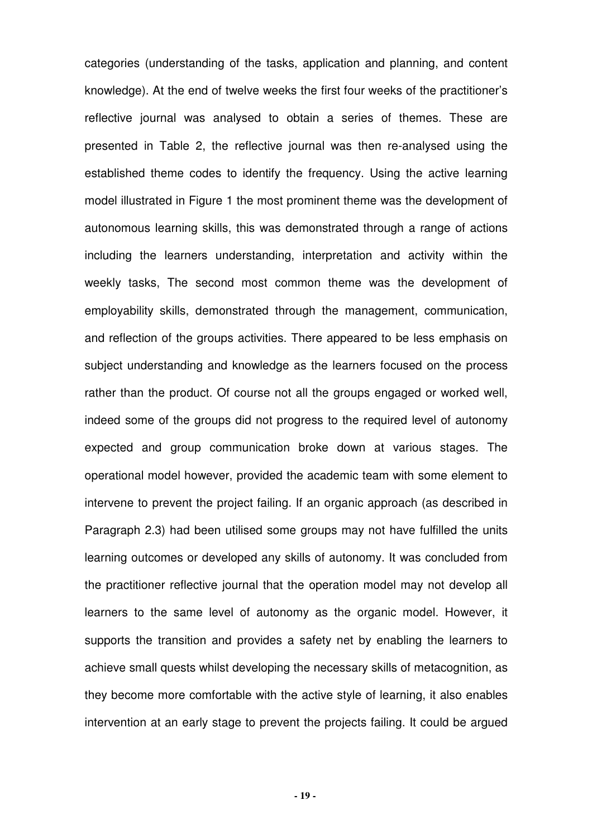categories (understanding of the tasks, application and planning, and content knowledge). At the end of twelve weeks the first four weeks of the practitioner's reflective journal was analysed to obtain a series of themes. These are presented in Table 2, the reflective journal was then re-analysed using the established theme codes to identify the frequency. Using the active learning model illustrated in Figure 1 the most prominent theme was the development of autonomous learning skills, this was demonstrated through a range of actions including the learners understanding, interpretation and activity within the weekly tasks, The second most common theme was the development of employability skills, demonstrated through the management, communication, and reflection of the groups activities. There appeared to be less emphasis on subject understanding and knowledge as the learners focused on the process rather than the product. Of course not all the groups engaged or worked well, indeed some of the groups did not progress to the required level of autonomy expected and group communication broke down at various stages. The operational model however, provided the academic team with some element to intervene to prevent the project failing. If an organic approach (as described in Paragraph 2.3) had been utilised some groups may not have fulfilled the units learning outcomes or developed any skills of autonomy. It was concluded from the practitioner reflective journal that the operation model may not develop all learners to the same level of autonomy as the organic model. However, it supports the transition and provides a safety net by enabling the learners to achieve small quests whilst developing the necessary skills of metacognition, as they become more comfortable with the active style of learning, it also enables intervention at an early stage to prevent the projects failing. It could be argued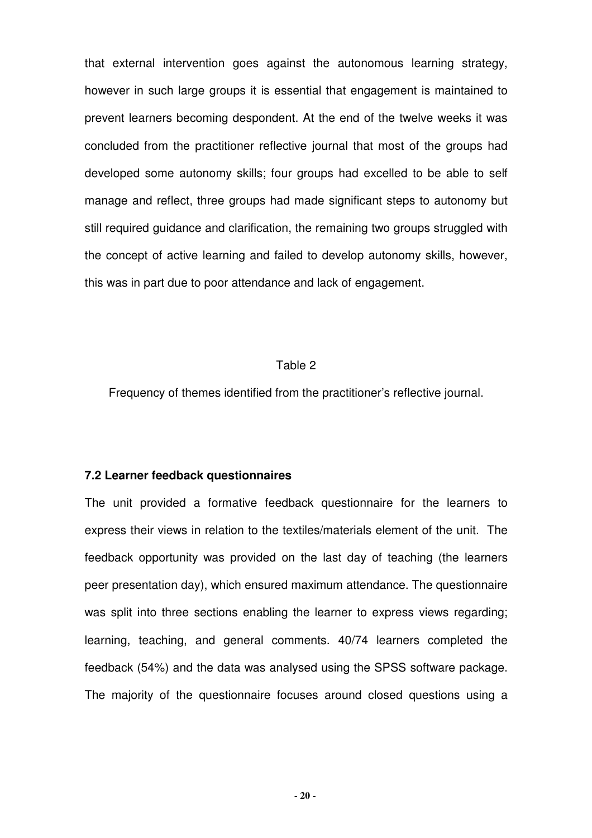that external intervention goes against the autonomous learning strategy, however in such large groups it is essential that engagement is maintained to prevent learners becoming despondent. At the end of the twelve weeks it was concluded from the practitioner reflective journal that most of the groups had developed some autonomy skills; four groups had excelled to be able to self manage and reflect, three groups had made significant steps to autonomy but still required guidance and clarification, the remaining two groups struggled with the concept of active learning and failed to develop autonomy skills, however, this was in part due to poor attendance and lack of engagement.

#### Table 2

Frequency of themes identified from the practitioner's reflective journal.

### **7.2 Learner feedback questionnaires**

The unit provided a formative feedback questionnaire for the learners to express their views in relation to the textiles/materials element of the unit. The feedback opportunity was provided on the last day of teaching (the learners peer presentation day), which ensured maximum attendance. The questionnaire was split into three sections enabling the learner to express views regarding; learning, teaching, and general comments. 40/74 learners completed the feedback (54%) and the data was analysed using the SPSS software package. The majority of the questionnaire focuses around closed questions using a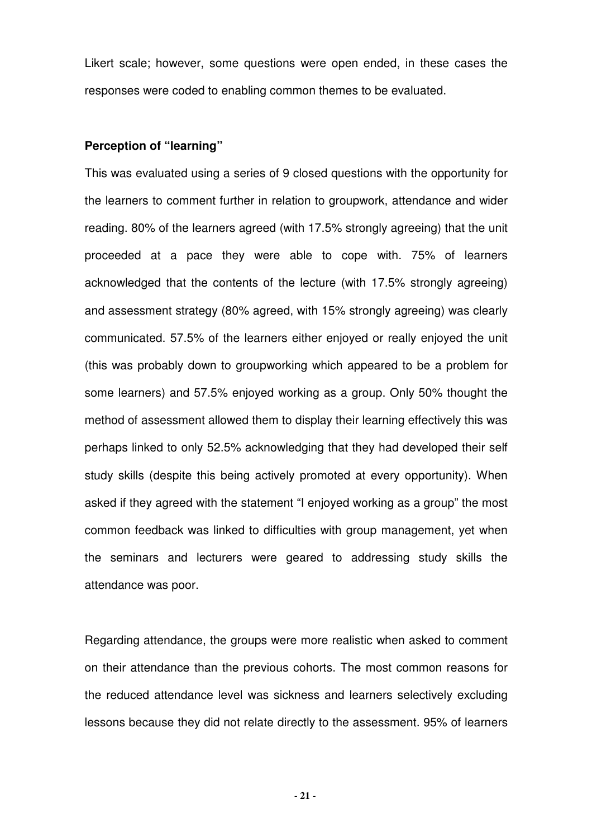Likert scale; however, some questions were open ended, in these cases the responses were coded to enabling common themes to be evaluated.

### **Perception of "learning"**

This was evaluated using a series of 9 closed questions with the opportunity for the learners to comment further in relation to groupwork, attendance and wider reading. 80% of the learners agreed (with 17.5% strongly agreeing) that the unit proceeded at a pace they were able to cope with. 75% of learners acknowledged that the contents of the lecture (with 17.5% strongly agreeing) and assessment strategy (80% agreed, with 15% strongly agreeing) was clearly communicated. 57.5% of the learners either enjoyed or really enjoyed the unit (this was probably down to groupworking which appeared to be a problem for some learners) and 57.5% enjoyed working as a group. Only 50% thought the method of assessment allowed them to display their learning effectively this was perhaps linked to only 52.5% acknowledging that they had developed their self study skills (despite this being actively promoted at every opportunity). When asked if they agreed with the statement "I enjoyed working as a group" the most common feedback was linked to difficulties with group management, yet when the seminars and lecturers were geared to addressing study skills the attendance was poor.

Regarding attendance, the groups were more realistic when asked to comment on their attendance than the previous cohorts. The most common reasons for the reduced attendance level was sickness and learners selectively excluding lessons because they did not relate directly to the assessment. 95% of learners

**- 21 -**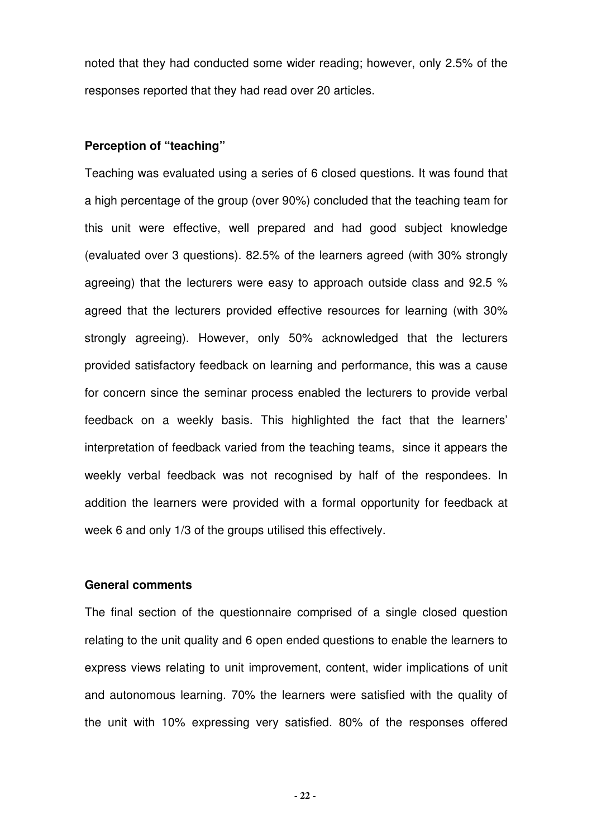noted that they had conducted some wider reading; however, only 2.5% of the responses reported that they had read over 20 articles.

#### **Perception of "teaching"**

Teaching was evaluated using a series of 6 closed questions. It was found that a high percentage of the group (over 90%) concluded that the teaching team for this unit were effective, well prepared and had good subject knowledge (evaluated over 3 questions). 82.5% of the learners agreed (with 30% strongly agreeing) that the lecturers were easy to approach outside class and 92.5 % agreed that the lecturers provided effective resources for learning (with 30% strongly agreeing). However, only 50% acknowledged that the lecturers provided satisfactory feedback on learning and performance, this was a cause for concern since the seminar process enabled the lecturers to provide verbal feedback on a weekly basis. This highlighted the fact that the learners' interpretation of feedback varied from the teaching teams, since it appears the weekly verbal feedback was not recognised by half of the respondees. In addition the learners were provided with a formal opportunity for feedback at week 6 and only 1/3 of the groups utilised this effectively.

## **General comments**

The final section of the questionnaire comprised of a single closed question relating to the unit quality and 6 open ended questions to enable the learners to express views relating to unit improvement, content, wider implications of unit and autonomous learning. 70% the learners were satisfied with the quality of the unit with 10% expressing very satisfied. 80% of the responses offered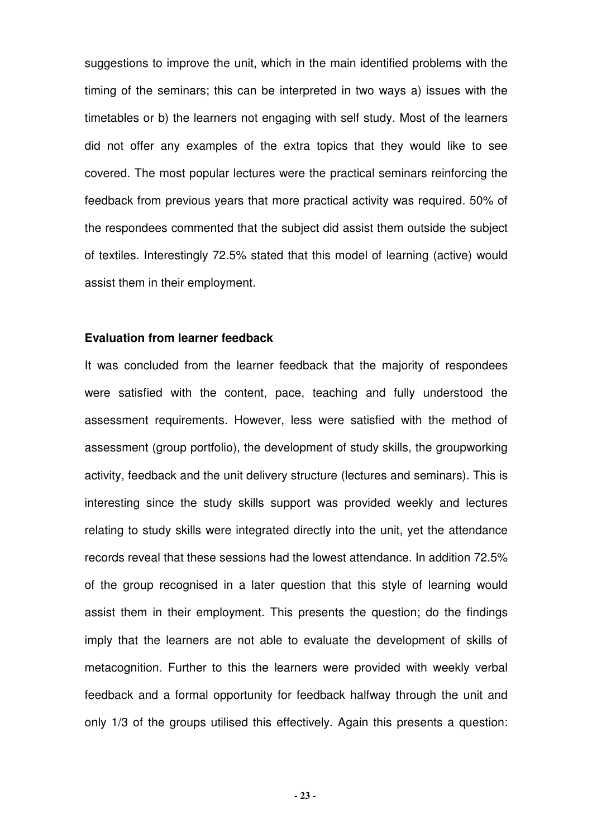suggestions to improve the unit, which in the main identified problems with the timing of the seminars; this can be interpreted in two ways a) issues with the timetables or b) the learners not engaging with self study. Most of the learners did not offer any examples of the extra topics that they would like to see covered. The most popular lectures were the practical seminars reinforcing the feedback from previous years that more practical activity was required. 50% of the respondees commented that the subject did assist them outside the subject of textiles. Interestingly 72.5% stated that this model of learning (active) would assist them in their employment.

#### **Evaluation from learner feedback**

It was concluded from the learner feedback that the majority of respondees were satisfied with the content, pace, teaching and fully understood the assessment requirements. However, less were satisfied with the method of assessment (group portfolio), the development of study skills, the groupworking activity, feedback and the unit delivery structure (lectures and seminars). This is interesting since the study skills support was provided weekly and lectures relating to study skills were integrated directly into the unit, yet the attendance records reveal that these sessions had the lowest attendance. In addition 72.5% of the group recognised in a later question that this style of learning would assist them in their employment. This presents the question; do the findings imply that the learners are not able to evaluate the development of skills of metacognition. Further to this the learners were provided with weekly verbal feedback and a formal opportunity for feedback halfway through the unit and only 1/3 of the groups utilised this effectively. Again this presents a question: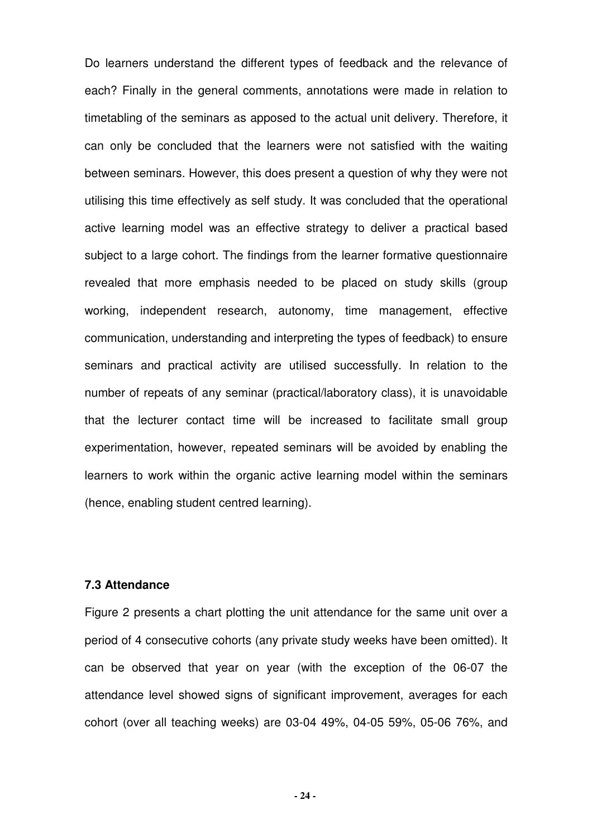Do learners understand the different types of feedback and the relevance of each? Finally in the general comments, annotations were made in relation to timetabling of the seminars as apposed to the actual unit delivery. Therefore, it can only be concluded that the learners were not satisfied with the waiting between seminars. However, this does present a question of why they were not utilising this time effectively as self study. It was concluded that the operational active learning model was an effective strategy to deliver a practical based subject to a large cohort. The findings from the learner formative questionnaire revealed that more emphasis needed to be placed on study skills (group working, independent research, autonomy, time management, effective communication, understanding and interpreting the types of feedback) to ensure seminars and practical activity are utilised successfully. In relation to the number of repeats of any seminar (practical/laboratory class), it is unavoidable that the lecturer contact time will be increased to facilitate small group experimentation, however, repeated seminars will be avoided by enabling the learners to work within the organic active learning model within the seminars (hence, enabling student centred learning).

## **7.3 Attendance**

Figure 2 presents a chart plotting the unit attendance for the same unit over a period of 4 consecutive cohorts (any private study weeks have been omitted). It can be observed that year on year (with the exception of the 06-07 the attendance level showed signs of significant improvement, averages for each cohort (over all teaching weeks) are 03-04 49%, 04-05 59%, 05-06 76%, and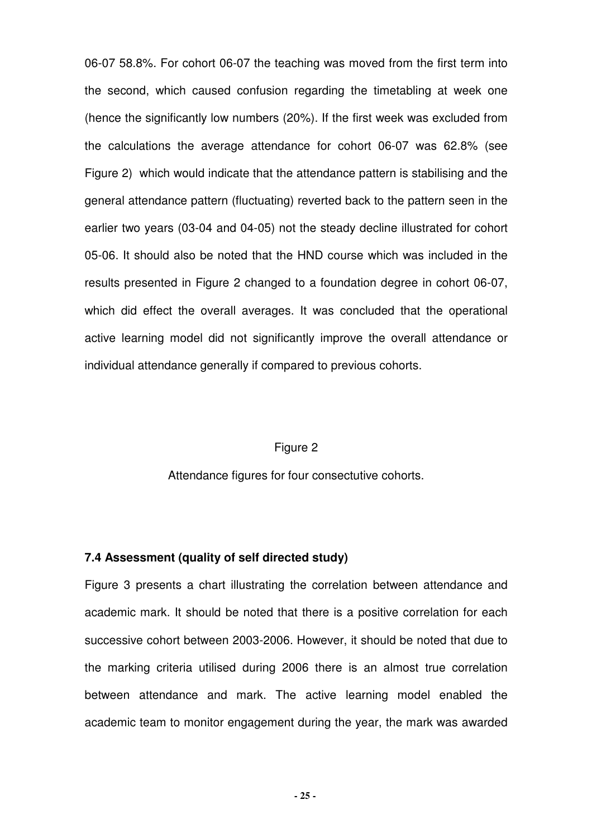06-07 58.8%. For cohort 06-07 the teaching was moved from the first term into the second, which caused confusion regarding the timetabling at week one (hence the significantly low numbers (20%). If the first week was excluded from the calculations the average attendance for cohort 06-07 was 62.8% (see Figure 2) which would indicate that the attendance pattern is stabilising and the general attendance pattern (fluctuating) reverted back to the pattern seen in the earlier two years (03-04 and 04-05) not the steady decline illustrated for cohort 05-06. It should also be noted that the HND course which was included in the results presented in Figure 2 changed to a foundation degree in cohort 06-07, which did effect the overall averages. It was concluded that the operational active learning model did not significantly improve the overall attendance or individual attendance generally if compared to previous cohorts.

#### Figure 2

Attendance figures for four consectutive cohorts.

## **7.4 Assessment (quality of self directed study)**

Figure 3 presents a chart illustrating the correlation between attendance and academic mark. It should be noted that there is a positive correlation for each successive cohort between 2003-2006. However, it should be noted that due to the marking criteria utilised during 2006 there is an almost true correlation between attendance and mark. The active learning model enabled the academic team to monitor engagement during the year, the mark was awarded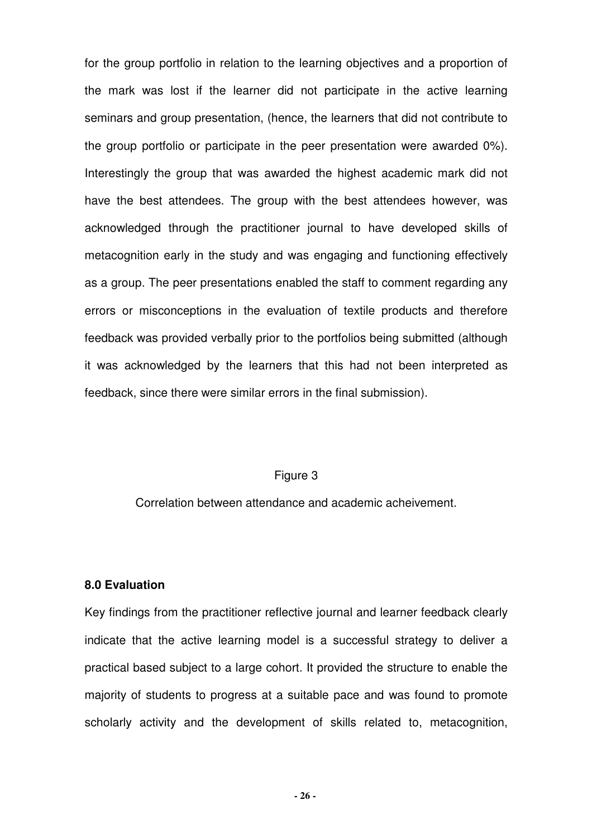for the group portfolio in relation to the learning objectives and a proportion of the mark was lost if the learner did not participate in the active learning seminars and group presentation, (hence, the learners that did not contribute to the group portfolio or participate in the peer presentation were awarded 0%). Interestingly the group that was awarded the highest academic mark did not have the best attendees. The group with the best attendees however, was acknowledged through the practitioner journal to have developed skills of metacognition early in the study and was engaging and functioning effectively as a group. The peer presentations enabled the staff to comment regarding any errors or misconceptions in the evaluation of textile products and therefore feedback was provided verbally prior to the portfolios being submitted (although it was acknowledged by the learners that this had not been interpreted as feedback, since there were similar errors in the final submission).

### Figure 3

Correlation between attendance and academic acheivement.

### **8.0 Evaluation**

Key findings from the practitioner reflective journal and learner feedback clearly indicate that the active learning model is a successful strategy to deliver a practical based subject to a large cohort. It provided the structure to enable the majority of students to progress at a suitable pace and was found to promote scholarly activity and the development of skills related to, metacognition,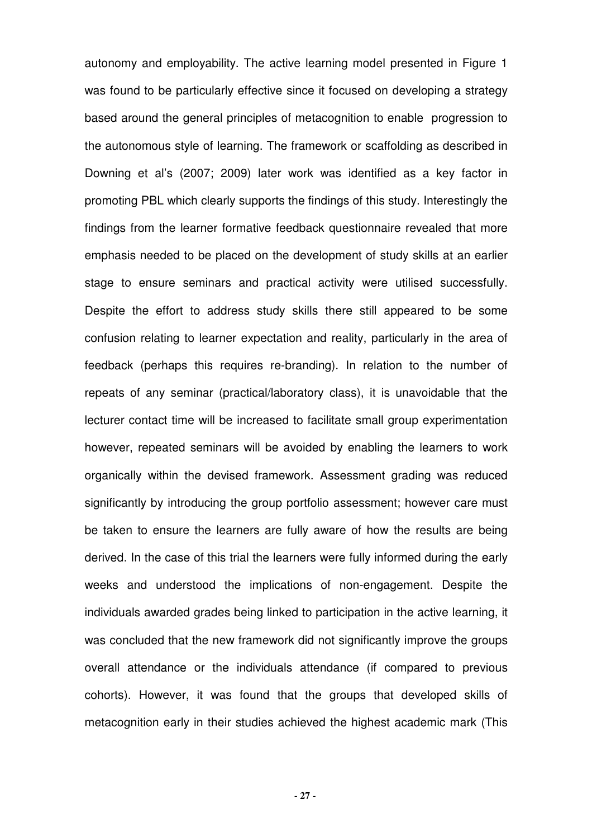autonomy and employability. The active learning model presented in Figure 1 was found to be particularly effective since it focused on developing a strategy based around the general principles of metacognition to enable progression to the autonomous style of learning. The framework or scaffolding as described in Downing et al's (2007; 2009) later work was identified as a key factor in promoting PBL which clearly supports the findings of this study. Interestingly the findings from the learner formative feedback questionnaire revealed that more emphasis needed to be placed on the development of study skills at an earlier stage to ensure seminars and practical activity were utilised successfully. Despite the effort to address study skills there still appeared to be some confusion relating to learner expectation and reality, particularly in the area of feedback (perhaps this requires re-branding). In relation to the number of repeats of any seminar (practical/laboratory class), it is unavoidable that the lecturer contact time will be increased to facilitate small group experimentation however, repeated seminars will be avoided by enabling the learners to work organically within the devised framework. Assessment grading was reduced significantly by introducing the group portfolio assessment; however care must be taken to ensure the learners are fully aware of how the results are being derived. In the case of this trial the learners were fully informed during the early weeks and understood the implications of non-engagement. Despite the individuals awarded grades being linked to participation in the active learning, it was concluded that the new framework did not significantly improve the groups overall attendance or the individuals attendance (if compared to previous cohorts). However, it was found that the groups that developed skills of metacognition early in their studies achieved the highest academic mark (This

**- 27 -**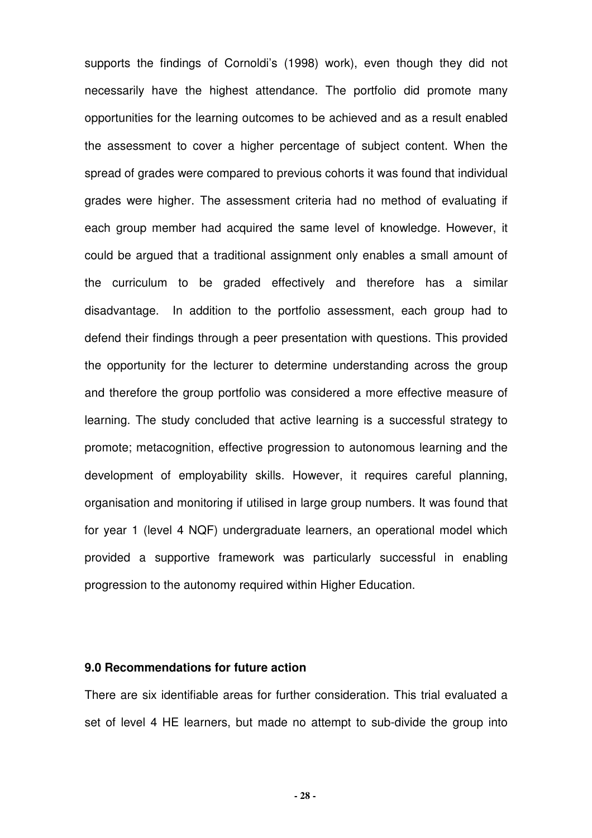supports the findings of Cornoldi's (1998) work), even though they did not necessarily have the highest attendance. The portfolio did promote many opportunities for the learning outcomes to be achieved and as a result enabled the assessment to cover a higher percentage of subject content. When the spread of grades were compared to previous cohorts it was found that individual grades were higher. The assessment criteria had no method of evaluating if each group member had acquired the same level of knowledge. However, it could be argued that a traditional assignment only enables a small amount of the curriculum to be graded effectively and therefore has a similar disadvantage. In addition to the portfolio assessment, each group had to defend their findings through a peer presentation with questions. This provided the opportunity for the lecturer to determine understanding across the group and therefore the group portfolio was considered a more effective measure of learning. The study concluded that active learning is a successful strategy to promote; metacognition, effective progression to autonomous learning and the development of employability skills. However, it requires careful planning, organisation and monitoring if utilised in large group numbers. It was found that for year 1 (level 4 NQF) undergraduate learners, an operational model which provided a supportive framework was particularly successful in enabling progression to the autonomy required within Higher Education.

#### **9.0 Recommendations for future action**

There are six identifiable areas for further consideration. This trial evaluated a set of level 4 HE learners, but made no attempt to sub-divide the group into

**- 28 -**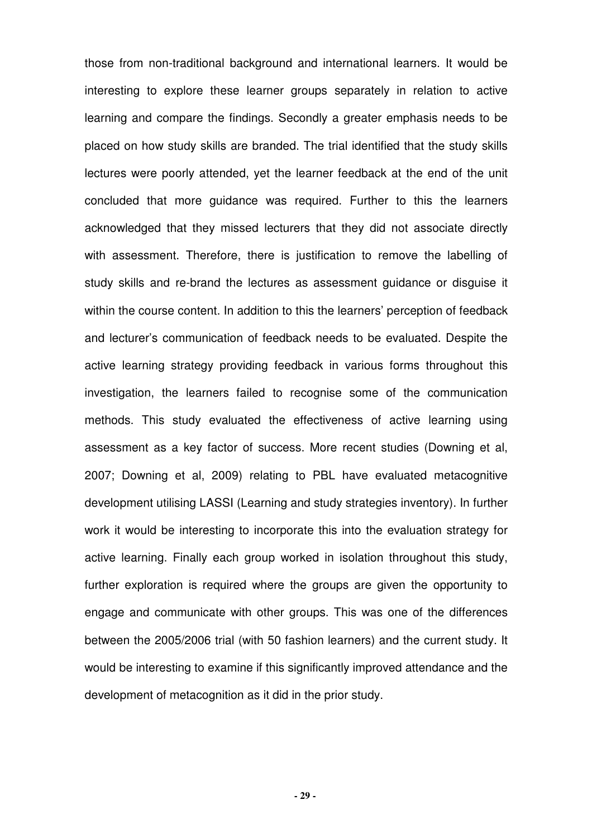those from non-traditional background and international learners. It would be interesting to explore these learner groups separately in relation to active learning and compare the findings. Secondly a greater emphasis needs to be placed on how study skills are branded. The trial identified that the study skills lectures were poorly attended, yet the learner feedback at the end of the unit concluded that more guidance was required. Further to this the learners acknowledged that they missed lecturers that they did not associate directly with assessment. Therefore, there is justification to remove the labelling of study skills and re-brand the lectures as assessment guidance or disguise it within the course content. In addition to this the learners' perception of feedback and lecturer's communication of feedback needs to be evaluated. Despite the active learning strategy providing feedback in various forms throughout this investigation, the learners failed to recognise some of the communication methods. This study evaluated the effectiveness of active learning using assessment as a key factor of success. More recent studies (Downing et al, 2007; Downing et al, 2009) relating to PBL have evaluated metacognitive development utilising LASSI (Learning and study strategies inventory). In further work it would be interesting to incorporate this into the evaluation strategy for active learning. Finally each group worked in isolation throughout this study, further exploration is required where the groups are given the opportunity to engage and communicate with other groups. This was one of the differences between the 2005/2006 trial (with 50 fashion learners) and the current study. It would be interesting to examine if this significantly improved attendance and the development of metacognition as it did in the prior study.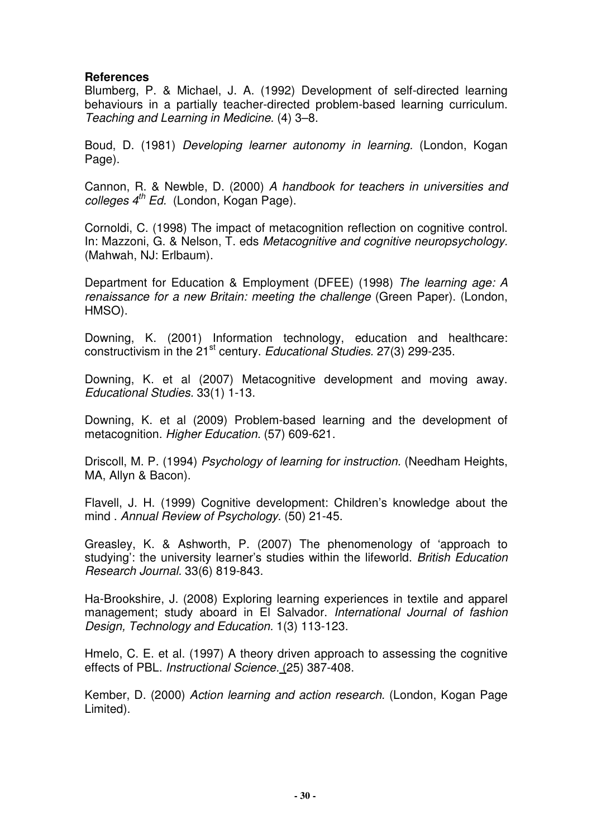## **References**

Blumberg, P. & Michael, J. A. (1992) Development of self-directed learning behaviours in a partially teacher-directed problem-based learning curriculum. Teaching and Learning in Medicine. (4) 3–8.

Boud, D. (1981) Developing learner autonomy in learning. (London, Kogan Page).

Cannon, R. & Newble, D. (2000) A handbook for teachers in universities and colleges  $4^{th}$  Ed. (London, Kogan Page).

Cornoldi, C. (1998) The impact of metacognition reflection on cognitive control. In: Mazzoni, G. & Nelson, T. eds Metacognitive and cognitive neuropsychology. (Mahwah, NJ: Erlbaum).

Department for Education & Employment (DFEE) (1998) The learning age: A renaissance for a new Britain: meeting the challenge (Green Paper). (London, HMSO).

Downing, K. (2001) Information technology, education and healthcare: constructivism in the 21<sup>st</sup> century. Educational Studies. 27(3) 299-235.

Downing, K. et al (2007) Metacognitive development and moving away. Educational Studies. 33(1) 1-13.

Downing, K. et al (2009) Problem-based learning and the development of metacognition. Higher Education. (57) 609-621.

Driscoll, M. P. (1994) Psychology of learning for instruction. (Needham Heights, MA, Allyn & Bacon).

Flavell, J. H. (1999) Cognitive development: Children's knowledge about the mind . Annual Review of Psychology. (50) 21-45.

Greasley, K. & Ashworth, P. (2007) The phenomenology of 'approach to studying': the university learner's studies within the lifeworld. British Education Research Journal. 33(6) 819-843.

Ha-Brookshire, J. (2008) Exploring learning experiences in textile and apparel management; study aboard in El Salvador. International Journal of fashion Design, Technology and Education. 1(3) 113-123.

Hmelo, C. E. et al. (1997) A theory driven approach to assessing the cognitive effects of PBL. Instructional Science. (25) 387-408.

Kember, D. (2000) Action learning and action research. (London, Kogan Page Limited).